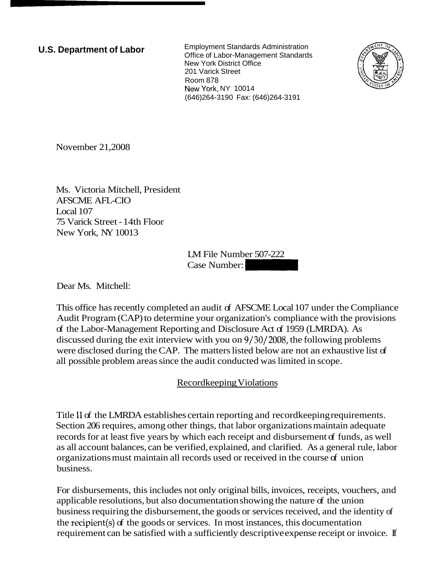**U.S. Department of Labor** Employment Standards Administration Office of Labor-Management Standards New York District Office 201 Varick Street Room 878 NewYork, NY 10014 (646)264-3190 Fax: (646)264-3191



November 21,2008

Ms. Victoria Mitchell, President AFSCME AFL-CIO Local 107 75 Varick Street - 14th Floor New York, NY 10013

LM File Number 507-222  $LM$  File Number 507-222<br>Case Number:  $\begin{bmatrix} 1 & 0 & 0 \\ 0 & 0 & 0 \\ 0 & 0 & 0 \\ 0 & 0 & 0 \\ 0 & 0 & 0 \\ 0 & 0 & 0 \\ 0 & 0 & 0 \\ 0 & 0 & 0 \\ 0 & 0 & 0 \\ 0 & 0 & 0 \\ 0 & 0 & 0 \\ 0 & 0 & 0 \\ 0 & 0 & 0 \\ 0 & 0 & 0 \\ 0 & 0 & 0 \\ 0 & 0 & 0 \\ 0 & 0 & 0 \\ 0 & 0 & 0 \\ 0 & 0 & 0 \\ 0 & 0 &$ 

Dear Ms. Mitchell:

This office has recently completed an audit of AFSCME Local 107 under the Compliance Audit Program (CAP) to determine your organization's compliance with the provisions of the Labor-Management Reporting and Disclosure Act of 1959 (LMRDA). As discussed during the exit interview with you on 9/30/2008, the following problems were disclosed during the CAP. The matters listed below are not an exhaustive list of all possible problem areas since the audit conducted was limited in scope.

## Recordkeeping Violations

Title I1 of the LMRDA establishes certain reporting and recordkeeping requirements. Section 206 requires, among other things, that labor organizations maintain adequate records for at least five years by which each receipt and disbursement of funds, as well as all account balances, can be verified, explained, and clarified. As a general rule, labor organizations must maintain all records used or received in the course of union business.

For disbursements, this includes not only original bills, invoices, receipts, vouchers, and applicable resolutions, but also documentation showing the nature of the union business requiring the disbursement, the goods or services received, and the identity of the recipient(s) of the goods or services. In most instances, this documentation requirement can be satisfied with a sufficiently descriptive expense receipt or invoice. If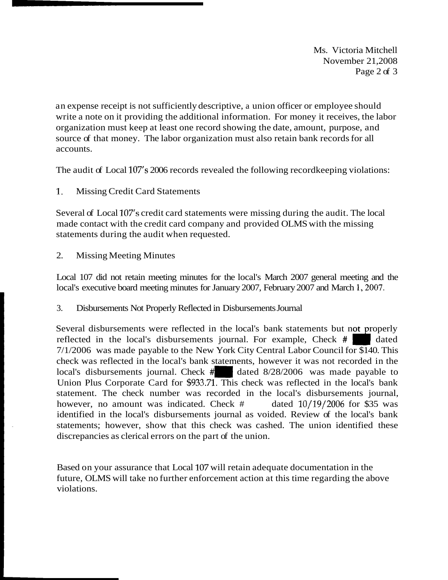Ms. Victoria Mitchell November 21,2008 Page 2 of 3

an expense receipt is not sufficiently descriptive, a union officer or employee should write a note on it providing the additional information. For money it receives, the labor organization must keep at least one record showing the date, amount, purpose, and source of that money. The labor organization must also retain bank records for all accounts.

The audit of Local 107's 2006 records revealed the following recordkeeping violations:

1. Missing Credit Card Statements

Several of Local 107's credit card statements were missing during the audit. The local made contact with the credit card company and provided OLMS with the missing statements during the audit when requested.

2. Missing Meeting Minutes

Local 107 did not retain meeting minutes for the local's March 2007 general meeting and the local's executive board meeting minutes for January 2007, February 2007 and March 1, 2007.

3. Disbursements Not Properly Reflected in Disbursements Journal

Several disbursements were reflected in the local's bank statements but not properly reflected in the local's disbursements journal. For example, Check # dated 7/1/2006 was made payable to the New York City Central Labor Council for \$140. This check was reflected in the local's bank statements, however it was not recorded in the  $1/1/2006$  was made payable to the New York City Central Labor Council for \$140. This check was reflected in the local's bank statements, however it was not recorded in the local's disbursements journal. Check  $\#$  dated Union Plus Corporate Card for \$933.71. This check was reflected in the local's bank statement. The check number was recorded in the local's disbursements journal, however, no amount was indicated. Check # dated  $10/19/2006$  for \$35 was identified in the local's disbursements journal as voided. Review of the local's bank statements; however, show that this check was cashed. The union identified these discrepancies as clerical errors on the part of the union.

Based on your assurance that Local 107 will retain adequate documentation in the future, OLMS will take no further enforcement action at this time regarding the above violations.